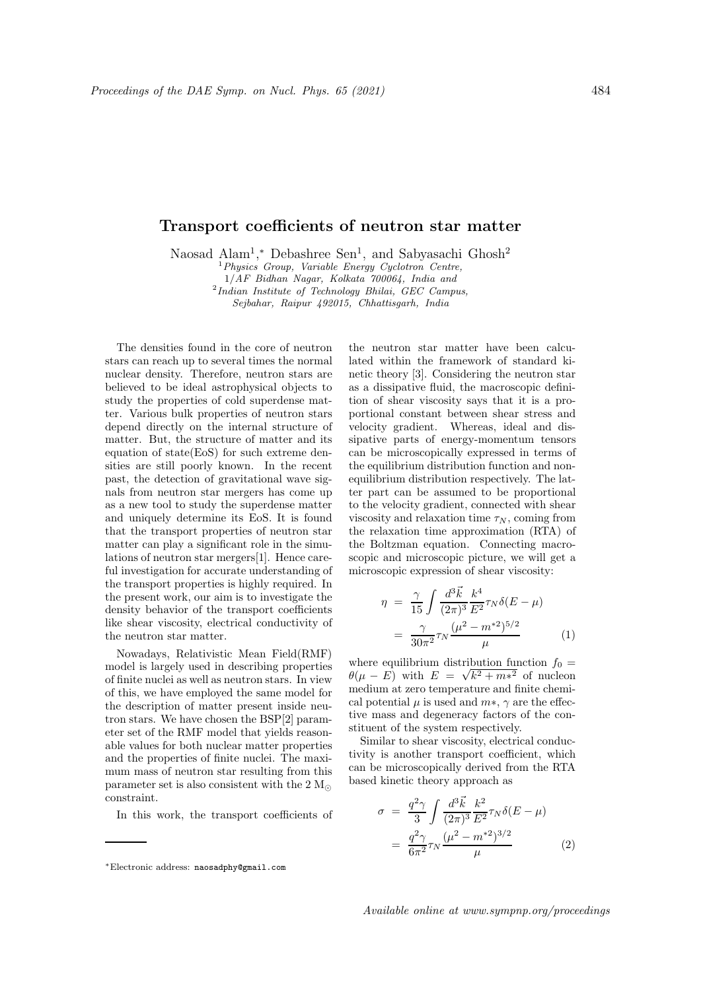## Transport coefficients of neutron star matter

Naosad Alam<sup>1</sup>,\* Debashree Sen<sup>1</sup>, and Sabyasachi Ghosh<sup>2</sup>

 $1$  Physics Group, Variable Energy Cyclotron Centre, 1/AF Bidhan Nagar, Kolkata 700064, India and <sup>2</sup>Indian Institute of Technology Bhilai, GEC Campus, Sejbahar, Raipur 492015, Chhattisgarh, India

The densities found in the core of neutron stars can reach up to several times the normal nuclear density. Therefore, neutron stars are believed to be ideal astrophysical objects to study the properties of cold superdense matter. Various bulk properties of neutron stars depend directly on the internal structure of matter. But, the structure of matter and its equation of state(EoS) for such extreme densities are still poorly known. In the recent past, the detection of gravitational wave signals from neutron star mergers has come up as a new tool to study the superdense matter and uniquely determine its EoS. It is found that the transport properties of neutron star matter can play a significant role in the simulations of neutron star mergers[1]. Hence careful investigation for accurate understanding of the transport properties is highly required. In the present work, our aim is to investigate the density behavior of the transport coefficients like shear viscosity, electrical conductivity of the neutron star matter.

Nowadays, Relativistic Mean Field(RMF) model is largely used in describing properties of finite nuclei as well as neutron stars. In view of this, we have employed the same model for the description of matter present inside neutron stars. We have chosen the BSP[2] parameter set of the RMF model that yields reasonable values for both nuclear matter properties and the properties of finite nuclei. The maximum mass of neutron star resulting from this parameter set is also consistent with the 2  $M_{\odot}$ constraint.

In this work, the transport coefficients of

the neutron star matter have been calculated within the framework of standard kinetic theory [3]. Considering the neutron star as a dissipative fluid, the macroscopic definition of shear viscosity says that it is a proportional constant between shear stress and velocity gradient. Whereas, ideal and dissipative parts of energy-momentum tensors can be microscopically expressed in terms of the equilibrium distribution function and nonequilibrium distribution respectively. The latter part can be assumed to be proportional to the velocity gradient, connected with shear viscosity and relaxation time  $\tau_N$ , coming from the relaxation time approximation (RTA) of the Boltzman equation. Connecting macroscopic and microscopic picture, we will get a microscopic expression of shear viscosity:

$$
\eta = \frac{\gamma}{15} \int \frac{d^3 \vec{k}}{(2\pi)^3} \frac{k^4}{E^2} \tau_N \delta(E - \mu)
$$

$$
= \frac{\gamma}{30\pi^2} \tau_N \frac{(\mu^2 - m^{*2})^{5/2}}{\mu} \tag{1}
$$

where equilibrium distribution function  $f_0 =$  $\theta(\mu - E)$  with  $E = \sqrt{k^2 + m^2}$  of nucleon medium at zero temperature and finite chemical potential  $\mu$  is used and  $m*, \gamma$  are the effective mass and degeneracy factors of the constituent of the system respectively.

Similar to shear viscosity, electrical conductivity is another transport coefficient, which can be microscopically derived from the RTA based kinetic theory approach as

$$
\sigma = \frac{q^2 \gamma}{3} \int \frac{d^3 \vec{k}}{(2\pi)^3} \frac{k^2}{E^2} \tau_N \delta(E - \mu)
$$
  
= 
$$
\frac{q^2 \gamma}{6\pi^2} \tau_N \frac{(\mu^2 - m^{*2})^{3/2}}{\mu}
$$
 (2)

<sup>∗</sup>Electronic address: naosadphy@gmail.com